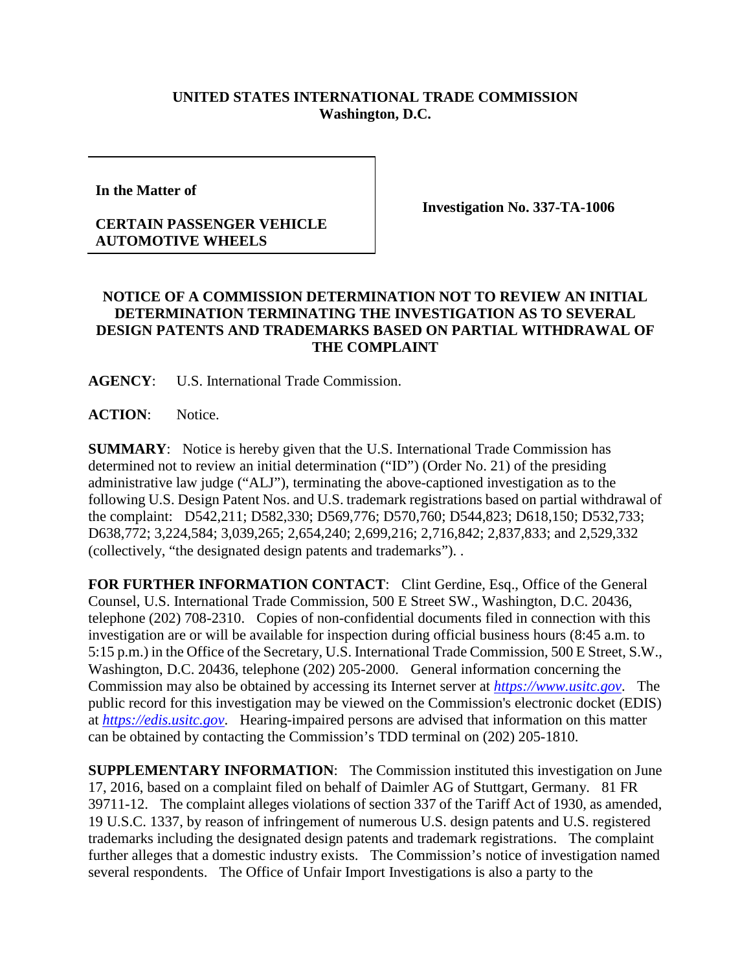## **UNITED STATES INTERNATIONAL TRADE COMMISSION Washington, D.C.**

**In the Matter of** 

## **CERTAIN PASSENGER VEHICLE AUTOMOTIVE WHEELS**

**Investigation No. 337-TA-1006**

## **NOTICE OF A COMMISSION DETERMINATION NOT TO REVIEW AN INITIAL DETERMINATION TERMINATING THE INVESTIGATION AS TO SEVERAL DESIGN PATENTS AND TRADEMARKS BASED ON PARTIAL WITHDRAWAL OF THE COMPLAINT**

**AGENCY**: U.S. International Trade Commission.

**ACTION**: Notice.

**SUMMARY**: Notice is hereby given that the U.S. International Trade Commission has determined not to review an initial determination ("ID") (Order No. 21) of the presiding administrative law judge ("ALJ"), terminating the above-captioned investigation as to the following U.S. Design Patent Nos. and U.S. trademark registrations based on partial withdrawal of the complaint: D542,211; D582,330; D569,776; D570,760; D544,823; D618,150; D532,733; D638,772; 3,224,584; 3,039,265; 2,654,240; 2,699,216; 2,716,842; 2,837,833; and 2,529,332 (collectively, "the designated design patents and trademarks"). .

FOR FURTHER INFORMATION CONTACT: Clint Gerdine, Esq., Office of the General Counsel, U.S. International Trade Commission, 500 E Street SW., Washington, D.C. 20436, telephone (202) 708-2310. Copies of non-confidential documents filed in connection with this investigation are or will be available for inspection during official business hours (8:45 a.m. to 5:15 p.m.) in the Office of the Secretary, U.S. International Trade Commission, 500 E Street, S.W., Washington, D.C. 20436, telephone (202) 205-2000. General information concerning the Commission may also be obtained by accessing its Internet server at *[https://www.usitc.gov](https://www.usitc.gov/)*. The public record for this investigation may be viewed on the Commission's electronic docket (EDIS) at *[https://edis.usitc.gov](https://edis.usitc.gov/)*. Hearing-impaired persons are advised that information on this matter can be obtained by contacting the Commission's TDD terminal on (202) 205-1810.

**SUPPLEMENTARY INFORMATION**: The Commission instituted this investigation on June 17, 2016, based on a complaint filed on behalf of Daimler AG of Stuttgart, Germany. 81 FR 39711-12. The complaint alleges violations of section 337 of the Tariff Act of 1930, as amended, 19 U.S.C. 1337, by reason of infringement of numerous U.S. design patents and U.S. registered trademarks including the designated design patents and trademark registrations. The complaint further alleges that a domestic industry exists. The Commission's notice of investigation named several respondents. The Office of Unfair Import Investigations is also a party to the